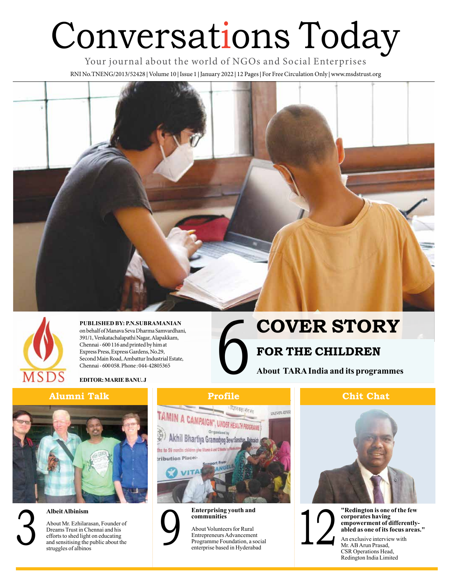# Conversations Today

Your journal about the world of NGOs and Social Enterprises RNI No.TNENG/2013/52428 **|** Volume 10 **|** Issue 1 **|** January 2022 **|** 12 Pages **|** For Free Circulation Only **|** www.msdstrust.org





**PUBLISHED BY: P.N.SUBRAMANIAN**  on behalf of Manava Seva Dharma Samvardhani, 391/1, Venkatachalapathi Nagar, Alapakkam, Chennai - 600 116 and printed by him at Express Press, Express Gardens, No.29, Second Main Road, Ambattur Industrial Estate, Chennai - 600 058. Phone : 044-42805365

**EDITOR: MARIE BANU. J**

### **Alumni Talk**



### **Albeit Albinism**

| ۹ |  |
|---|--|
|   |  |
|   |  |
|   |  |

About Mr. Ezhilarasan, Founder of Dreams Trust in Chennai and his efforts to shed light on educating and sensitising the public about the struggles of albinos Albeit Albinism<br>
About Mr. Ezhilarasan, Founder of<br>
Dreams Trust in Chennai and his<br>
efforts to shed light on educating<br>
and sensitising the public about the<br>
struggles of albinos<br>
SR Operations Head,<br>
CSR Operations Head,





**Enterprising youth and communities**

About Volunteers for Rural Entrepreneurs Advancement Programme Foundation, a social Experiment About Volunteers for Rural<br>
Entrepreneurs Advancement<br>
Programme Foundation, a social<br>
enterprise based in Hyderabad

# 6 **COVER STORY**

### **FOR THE CHILDREN**

**About TARA India and its programmes**

### **Profile Chit Chat**



**corporates having empowerment of differentlyabled as one of its focus areas."**

An exclusive interview with Mr. AB Arun Prasad, CSR Operations Head, Redington India Limited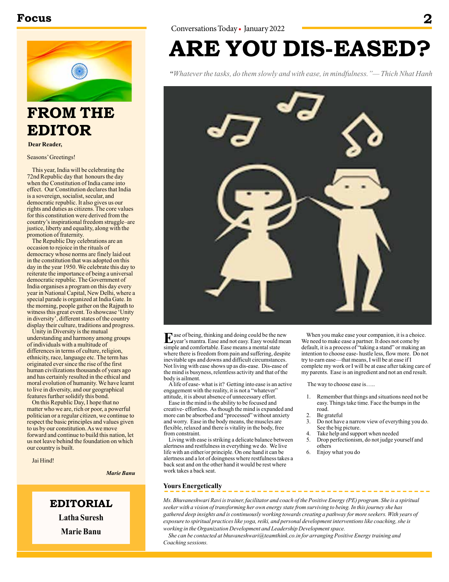### **Focus 2**



### **FROM THE EDITOR**

**Dear Reader,**

Seasons' Greetings!

This year, India will be celebrating the 72nd Republic day that honours the day when the Constitution of India came into effect. Our Constitution declares that India is a sovereign, socialist, secular, and democratic republic. It also gives us our rights and duties as citizens. The core values for this constitution were derived from the country's inspirational freedom struggle–are justice, liberty and equality, along with the promotion of fraternity.

The Republic Day celebrations are an occasion to rejoice in the rituals of democracy whose norms are finely laid out in the constitution that was adopted on this day in the year 1950. We celebrate this day to reiterate the importance of being a universal democratic republic. The Government of India organises a program on this day every year in National Capital, New Delhi, where a special parade is organized at India Gate. In the morning, people gather on the Rajpath to witness this great event. To showcase 'Unity in diversity', different states of the country display their culture, traditions and progress.

Unity in Diversity is the mutual understanding and harmony among groups of individuals with a multitude of differences in terms of culture, religion, ethnicity, race, language etc. The term has originated ever since the rise of the first human civilizations thousands of years ago and has certainly resulted in the ethical and moral evolution of humanity. We have learnt to live in diversity, and our geographical features further solidify this bond.

On this Republic Day, I hope that no matter who we are, rich or poor, a powerful politician or a regular citizen, we continue to respect the basic principles and values given to us by our constitution. As we move forward and continue to build this nation, let us not leave behind the foundation on which our country is built.

Jai Hind!

*Marie Banu*

**EDITORIAL Latha Suresh Marie Banu**

## **ARE YOU DIS-EASED?**

*"Whatever the tasks, do them slowly and with ease, in mindfulness."— Thich Nhat Hanh*



Example of being, thinking and doing could be the new year's mantra. Ease and not easy. Easy would mean simple and comfortable. Ease means a mental state where there is freedom from pain and suffering, despite inevitable ups and downs and difficult circumstances. Not living with ease shows up as dis-ease. Dis-ease of the mind is busyness, relentless activity and that of the body is ailment.

A life of ease- what is it? Getting into ease is an active engagement with the reality, it is not a "whatever" attitude, it is about absence of unnecessary effort.

Ease in the mind is the ability to be focused and creative- effortless. As though the mind is expanded and more can be absorbed and "processed" without anxiety and worry. Ease in the body means, the muscles are flexible, relaxed and there is vitality in the body, free from constraint.

Living with ease is striking a delicate balance between alertness and restfulness in everything we do. We live life with an either/or principle. On one hand it can be alertness and a lot of doingness where restfulness takes a back seat and on the other hand it would be rest where work takes a back seat.

When you make ease your companion, it is a choice. We need to make ease a partner. It does not come by default, it is a process of "taking a stand" or making an intention to choose ease- hustle less, flow more. Do not try to earn ease—that means, I will be at ease if I complete my work or I will be at ease after taking care of my parents. Ease is an ingredient and not an end result.

The way to choose ease is…..

- 1. Remember that things and situations need not be easy. Things take time. Face the bumps in the road.
- 
- 2. Be grateful<br>3. Do not have 3. Do not have a narrow view of everything you do. See the big picture.
- 4. Take help and support when needed
- 5. Drop perfectionism, do not judge yourself and others
- 6. Enjoy what you do

### **Yours Energetically**

*Ms. Bhuvaneshwari Ravi is trainer, facilitator and coach of the Positive Energy (PE) program. She is a spiritual seeker with a vision of transforming her own energy state from surviving to being. In this journey she has gathered deep insights and is continuously working towards creating a pathway for more seekers. With years of exposure to spiritual practices like yoga, reiki, and personal development interventions like coaching, she is working in the Organization Development and Leadership Development space.* 

*She can be contacted at bhuvaneshwari@teamthink.co.in for arranging Positive Energy training and Coaching sessions.*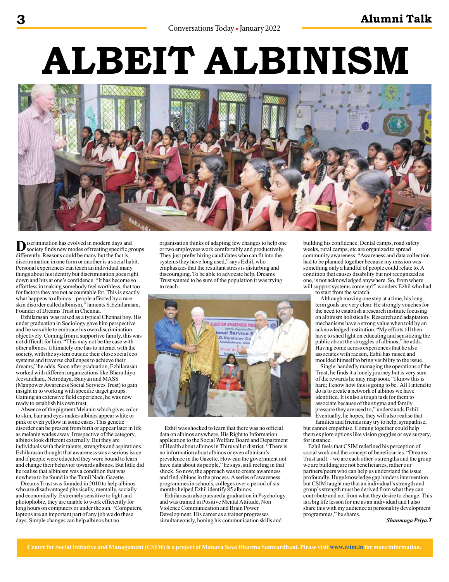# **ALBEIT ALBINISM**



**D**iscrimination has evolved in modern days and<br>society finds new modes of treating specific groups differently. Reasons could be many but the fact is, discrimination in one form or another is a social habit. Personal experiences can teach an individual many things about his identity but discrimination goes right down and hits at one's confidence. "It has become so effortless in making somebody feel worthless, that too for factors they are not accountable for. This is exactly what happens to albinos – people affected by a rare skin disorder called albinism," laments S.Ezhilarasan, Founder of Dreams Trust in Chennai.

Ezhilarasan was raised as a typical Chennai boy. His under graduation in Sociology gave him perspective and he was able to embrace his own discrimination objectively. Coming from a supportive family, this was not difficult for him. "This may not be the case with other albinos. Ultimately one has to interact with the society, with the system outside their close social eco systems and traverse challenges to achieve their dreams," he adds. Soon after graduation, Ezhilarasan worked with different organizations like Bharathiya Jeevandhara, Netrodaya, Banyan and MASS (Manpower Awareness Social Services Trust) to gain insight in to working with specific target groups. Gaining an extensive field experience, he was now ready to establish his own trust.

Absence of the pigment Melanin which gives color to skin, hair and eyes makes albinos appear white or pink or even yellow in some cases. This genetic disorder can be present from birth or appear later in life as melanin wades away. Irrespective of the category, albinos look different externally. But they are individuals with their talents, strengths and aspirations. Ezhilarasan thought that awareness was a serious issue and if people were educated they were bound to learn and change their behavior towards albinos. But little did he realise that albinism was a condition that was nowhere to be found in the Tamil Nadu Gazette.

Dreams Trust was founded in 2010 to help albinos who are disadvantaged physically, mentally, socially and economically. Extremely sensitive to light and photophobic, they are unable to work efficiently for long hours on computers or under the sun. "Computers, laptops are an important part of any job we do these days. Simple changes can help albinos but no

organisation thinks of adapting few changes to help one or two employees work comfortably and productively. They just prefer hiring candidates who can fit into the systems they have long used," says Ezhil, who emphasizes that the resultant stress is disturbing and discouraging. To be able to advocate help, Dreams Trust wanted to be sure of the population it was trying to reach.



Ezhil was shocked to learn that there was no official data on albinos anywhere. His Right to Information application to the Social Welfare Board and Department of Health about albinos in Thiruvallur district. "There is no information about albinos or even albinism's prevalence in the Gazette. How can the government not have data about its people," he says, still reeling in that shock. So now, the approach was to create awareness and find albinos in the process. A series of awareness programmes in schools, colleges over a period of six months helped Ezhil identify 85 albinos.

Ezhilarasan also pursued a graduation in Psychology and was trained in Positive Mental Attitude, Non Violence Communication and Brain Power Development. His career as a trainer progresses simultaneously, honing his communication skills and

building his confidence. Dental camps, road safety weeks, rural camps, etc are organized to spread community awareness. "Awareness and data collection had to be planned together because my mission was something only a handful of people could relate to. A condition that causes disability but not recognized as one, is not acknowledged anywhere. So, from where will support systems come up?" wonders Ezhil who had

to start from the scratch.

Although moving one step at a time, his long term goals are very clear. He strongly vouches for the need to establish a research institute focusing on albinism holistically. Research and adaptation mechanisms have a strong value when told by an acknowledged institution. "My efforts till then have to shed light on educating and sensitizing the public about the struggles of albinos," he adds. Having come across experiences that he also associates with racism, Ezhil has raised and moulded himself to bring visibility to the issue.

Single-handedly managing the operations of the Trust, he finds it a lonely journey but is very sure of the rewards he may reap soon. "I know this is hard; I know how this is going to be. All I intend to do is to create a network of albinos we have identified. It is also a tough task for them to associate because of the stigma and family pressure they are used to," understands Ezhil. Eventually, he hopes, they will also realise that families and friends may try to help, sympathise,

but cannot empathise. Coming together could help them explore options like vision goggles or eye surgery, for instance.

Ezhil feels that CSIM redefined his perception of social work and the concept of beneficiaries. "Dreams Trust and  $I$  – we are each other's strengths and the group we are building are not beneficiaries, rather our partners/peers who can help us understand the issue profoundly. Huge knowledge gap hinders intervention but CSIM taught me that an individual's strength and group's strength must be derived from what they can contribute and not from what they desire to change. This is a big life lesson for me as an individual and I also share this with my audience at personality development programmes," he shares.

*Shanmuga Priya.T*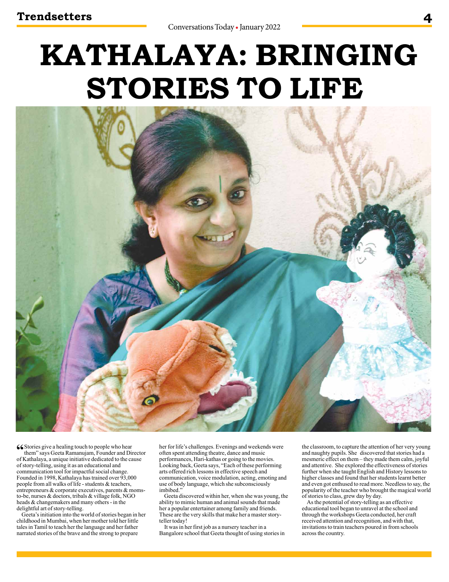# **KATHALAYA: BRINGING STORIES TO LIFE**



**66** Stories give a healing touch to people who hear

them" says Geeta Ramanujam, Founder and Director of Kathalaya, a unique initiative dedicated to the cause of story-telling, using it as an educational and communication tool for impactful social change. Founded in 1998, Kathalaya has trained over 93,000 people from all walks of life - students & teachers, entrepreneurs & corporate executives, parents & momsto-be, nurses & doctors, tribals & village folk, NGO heads & changemakers and many others - in the delightful art of story-telling.

Geeta's initiation into the world of stories began in her childhood in Mumbai, when her mother told her little tales in Tamil to teach her the language and her father narrated stories of the brave and the strong to prepare

her for life's challenges. Evenings and weekends were often spent attending theatre, dance and music performances, Hari-kathas or going to the movies. Looking back, Geeta says, "Each of these performing arts offered rich lessons in effective speech and communication, voice modulation, acting, emoting and use of body language, which she subconsciously imbibed<sup>'</sup>

Geeta discovered within her, when she was young, the ability to mimic human and animal sounds that made her a popular entertainer among family and friends. These are the very skills that make her a master storyteller today!

It was in her first job as a nursery teacher in a Bangalore school that Geeta thought of using stories in the classroom, to capture the attention of her very young and naughty pupils. She discovered that stories had a mesmeric effect on them – they made them calm, joyful and attentive. She explored the effectiveness of stories further when she taught English and History lessons to higher classes and found that her students learnt better and even got enthused to read more. Needless to say, the popularity of the teacher who brought the magical world of stories to class, grew day by day.

As the potential of story-telling as an effective educational tool began to unravel at the school and through the workshops Geeta conducted, her craft received attention and recognition, and with that, invitations to train teachers poured in from schools across the country.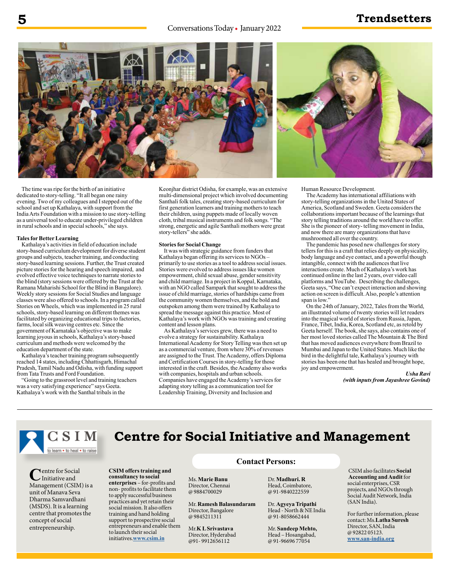Conversations Today • January 2022

### **5 Trendsetters**



**CSIM offers training and consultancy to social enterprises** – for-profits and non- profits to facilitate them to apply successful business practices and yet retain their social mission. It also offers training and hand holding support to prospective social entrepreneurs and enable them

to launch their social initiatives.**www.csim.in**

The time was ripe for the birth of an initiative dedicated to story-telling. "It all began one rainy evening. Two of my colleagues and I stepped out of the school and set up Kathalaya, with support from the India Arts Foundation with a mission to use story-telling as a universal tool to educate under-privileged children in rural schools and in special schools," she says.

### **Tales for Better Learning**

Kathalaya's activities in field of education include story-based curriculum development for diverse student groups and subjects, teacher training, and conducting story-based learning sessions. Further, the Trust created picture stories for the hearing and speech impaired, and evolved effective voice techniques to narrate stories to the blind (story sessions were offered by the Trust at the Ramana Maharishi School for the Blind in Bangalore). Weekly story sessions for Social Studies and language classes were also offered to schools. In a program called Stories on Wheels, which was implemented in 25 rural schools, story-based learning on different themes was facilitated by organizing educational trips to factories, farms, local silk weaving centres etc. Since the government of Karnataka's objective was to make learning joyous in schools, Kathalaya's story-based curriculum and methods were welcomed by the education department of the state.

Kathalaya's teacher training program subsequently reached 14 states, including Chhattisgarh, Himachal Pradesh, Tamil Nadu and Odisha, with funding support from Tata Trusts and Ford Foundation.

"Going to the grassroot level and training teachers was a very satisfying experience" says Geeta. Kathalaya's work with the Santhal tribals in the

Keonjhar district Odisha, for example, was an extensive multi-dimensional project which involved documenting Santhali folk tales, creating story-based curriculum for first generation learners and training mothers to teach their children, using puppets made of locally woven cloth, tribal musical instruments and folk songs. "The strong, energetic and agile Santhali mothers were great story-tellers" she adds.

#### **Stories for Social Change**

It was with strategic guidance from funders that Kathalaya began offering its services to NGOs – primarily to use stories as a tool to address social issues. Stories were evolved to address issues like women empowerment, child sexual abuse, gender sensitivity and child marriage. In a project in Koppal, Karnataka, with an NGO called Sampark that sought to address the issue of child marriage, stories of hardships came from the community women themselves, and the bold and outspoken among them were trained by Kathalaya to spread the message against this practice. Most of Kathalaya's work with NGOs was training and creating content and lesson plans.

As Kathalaya's services grew, there was a need to evolve a strategy for sustainability. Kathalaya International Academy for Story Telling was then set up as a commercial venture, from where 30% of revenues are assigned to the Trust. The Academy, offers Diploma and Certification Courses in story-telling for those interested in the craft. Besides, the Academy also works with companies, hospitals and urban schools. Companies have engaged the Academy's services for adapting story telling as a communication tool for Leadership Training, Diversity and Inclusion and



Human Resource Development.

The Academy has international affiliations with story-telling organizations in the United States of America, Scotland and Sweden. Geeta considers the collaborations important because of the learnings that story telling traditions around the world have to offer. She is the pioneer of story- telling movement in India, and now there are many organizations that have mushroomed all over the country.

The pandemic has posed new challenges for story tellers for this is a craft that relies deeply on physicality, body language and eye contact, and a powerful though intangible, connect with the audiences that live interactions create. Much of Kathalaya's work has continued online in the last 2 years, over video call platforms and YouTube. Describing the challenges, Geeta says, "One can't expect interaction and showing action on screen is difficult. Also, people's attention span is low."

On the 24th of January, 2022, Tales from the World, an illustrated volume of twenty stories will let readers into the magical world of stories from Russia, Japan, France, Tibet, India, Korea, Scotland etc, as retold by Geeta herself. The book, she says, also contains one of her most loved stories called The Mountain & The Bird that has moved audiences everywhere from Brazil to Mumbai and Japan to the United States. Much like the bird in the delightful tale, Kathalaya's journey with stories has been one that has healed and brought hope, joy and empowerment.

*Usha Ravi (with inputs from Jayashree Govind)*



Centre for Social Management (CSIM) is a unit of Manava Seva Dharma Samvardhani (MSDS). It is a learning centre that promotes the concept of social entrepreneurship.

### **Centre for Social Initiative and Management**

### **Contact Persons:**

Ms. **Marie Banu** Director, Chennai @ 9884700029

Mr. **Ramesh Balasundaram**  Director, Bangalore @ 9845211311

Mr.**K L Srivastava** Director, Hyderabad @91- 9912656112

Dr. **Madhuri. R** Head, Coimbatore, @ 91-9840222559

Dr. **Agyeya Tripathi**  Head - North & NE India @ 91-8058662444

Mr. **Sandeep Mehto,** Head – Hosangabad, @ 91-96696 77054

CSIM also facilitates **Social Accounting and Audit** for social enterprises, CSR projects, and NGOs through Social Audit Network, India (SAN India).

For further information, please contact: Ms.**Latha Suresh**  Director, SAN, India @ 92822 05123. **www.san-india.org**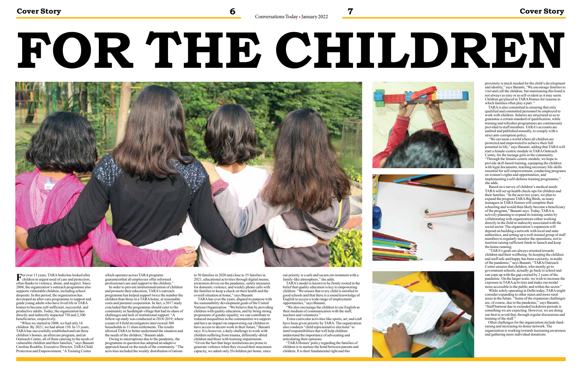# **FOR THE CHILDREN**



**F**or over 13 years, TARA India has looked after children in urgent need of care and protection, often thanks to violence, abuse, and neglect. Since 2008, the organization's outreach programme also supports vulnerable children, including school dropouts. In this period, the organization has developed an after-care programme to support and guide young adults who have lived life in TARA homes to become self-sufficient, successful, and productive adults. Today, the organization has directly and indirectly impacted 750 and 2,300 beneficiaries, respectively.

 "When we started in 2008, we had only 16 children. By 2021, we had about 150. In 13 years, TARA has successfully established and ran three children's homes, an aftercare program, and an Outreach Centre, all of them catering to the needs of vulnerable children and their families," says Basanti Caroline Roublin, Executive Director, TARA Child Protection and Empowerment, "A Training Centre

which operates across TARA programs guaranteesthat all employees offer informed professional care and support to the children."

 In order to prevent institutionalization of children and promote their education, TARA's outreach programme has helped support twice the number the children than those in a TARA home, at reasonable costs and parental cooperation. In fact, a 2017 study concluded that the programme should cater to the community in Saidulajab village that had its share of challenges and lack of institutional support. "A follow-up study was conducted in  $2018-2019$ , where a team of 4 field investigators interviewed 300 households in 11 slum settlements. The results allowed TARA to better understand the situation and the needs of the children," Basanti adds.

 Owing to interruptions due to the pandemic, the programme in question has adopted an adaptive approach based on the needs of the community. "The activities included the weekly distribution of rations

proximity is much needed for the child's development and identity," says Basanti, "We encourage families to visit and call the children, but maintaining this bond is not always as easy or as self-evident as it may seem. Children get placed in TARA Homes for reasons in which families often play a part. "

to 50 families in 2020 and close to 35 families in 2021, educational activities through digital means, awareness drives on the pandemic, safety measures for domestic violence, and weekly phone calls with the families to keep a check on their health and the overall situation at home," says Basanti.

 TARA has over the years, aligned its purpose with the sustainability development goals of the United Nations Organization. "We believe that by providing children with quality education, and by being strong proponents of gender equality, we can contribute to reduced inequalities in the communities we support and have an impact on empowering our children to have access to decent work in their future," Basanti says. It is however, a daily challenge to work with children suffering from trauma, differently-abled children and those with learning impairments. "Given the fact that large institutions are prone to generate violence when they exceed their maximum capacity, we admit only 20 children per home, since

 "TARA's goals are always oriented towards children and their wellbeing. So keeping the children and staff safe and happy has been a priority, in midst of the pandemic," says Basanti, "TARA Outreach Centre ensures that children, who mostly go to government schools, actually go back to school and can cope up with the gap created by 2 years of the pandemic. On the larger scale, we wish to increase the exposure to TARA activities and make our model more accessible to the public and within the sector."

our priority is a safe and secure environment with a family-like atmosphere," she adds.

TARA's model is known to be firmly rooted in the belief that quality education is key to empowering children. "We ensure that every child is enrolled in good schools and that there is a sound knowledge of English to access a wide range of employment opportunities," says Basanti,

"We also encourage the children to use English as their medium of communication with the staff, teachers and volunteers."

 Extra-curricular activities like sports, art, and craft have been given priority by TARA. The organization also conducts "child representative elections" to instil responsibilities that will help children understand the importance of advocating and articulating their opinions.

"TARA Homes' policy regarding the families of children is to nurture the bond between parents and children. It is their fundamental right and this





TARA is also committed to ensuring that only qualified and committed personnel be employed to work with children. Salaries are structured so as to guarantee a certain standard of qualification, while training and refresher programmes are continuously provided to staff members. TARA's accounts are audited and published annually, to comply with a strict anti-corruption policy.

 "We envision a world where all children are protected and empowered to achieve their full potential in life," says Basanti, adding that TARA will start a female-centric module in TARA Outreach Centre, for the teenage girls in the community. "Through the female-centric module, we hope to provide skill-based training, equipping the children with legal documents, teaching necessary life-skills essential for self-empowerment, conducting programs on women's rights and opportunities, and implementing a self-defense training programme," she adds.

 Based on a survey of children's medical needs TARA will set up health check-ups for children and their families. "In the next two years, we plan to expand the program TARA Big Birds, as many teenagers in TARA Homes will complete their schooling and would then likely become a beneficiary of the program," Basanti says. Today, TARA is actively planning to expand its training centre by collaborating with organizations either working directly in the field or indirectly associated with the social sector. The organization's expansion will depend on building a network with local and state authorities, and setting up a well-trained group of staff members to regularly monitor the operations, not to mention raising sufficient funds to launch and keep the home running.

 While solely operating in Delhi today, TARA might consider expanding to other states and more rural areas in the future. "Some of the expansion challenges are, of course, due to the pandemic," says Basanti, "Staff burnout due to extended lockdown periods is something we are expecting. However, we are doing our best to avoid that, through regular discussions and training of the staff."

Other challenges for the organization include fundraising and increasing its donor network. The organization is working towards increasing awareness and gathering more individual donations.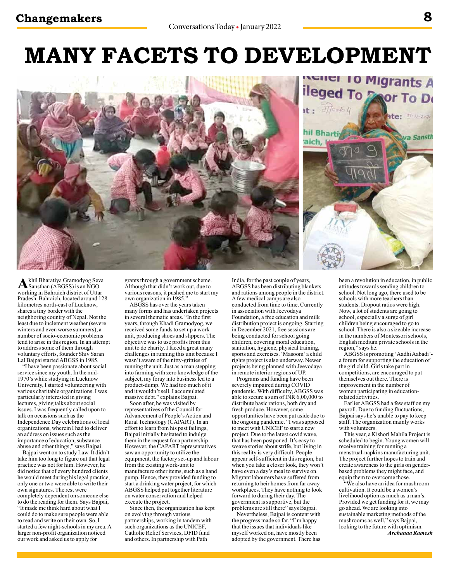# **MANY FACETS TO DEVELOPMENT**





Akhil Bharatiya Gramodyog Seva<br>Sansthan (ABGSS) is an NGO working in Bahraich district of Uttar Pradesh. Bahraich, located around 128 kilometres north-east of Lucknow, shares a tiny border with the neighboring country of Nepal. Not the least due to inclement weather (severe winters and even worse summers), a number of socio-economic problems tend to arise in this region. In an attempt to address some of them through voluntary efforts, founder Shiv Saran Lal Bajpai started ABGSS in 1985.

"I have been passionate about social service since my youth. In the mid-1970's while studying in Lucknow University, I started volunteering with various charitable organizations. I was particularly interested in giving lectures, giving talks about social issues. I was frequently called upon to talk on occasions such as the Independence Day celebrations of local organizations, wherein I had to deliver an address on issues such as the importance of education, substance abuse and other things," says Bajpai.

Bajpai went on to study Law. It didn't take him too long to figure out that legal practice was not for him. However, he did notice that of every hundred clients he would meet during his legal practice, only one or two were able to write their own signatures. The rest were completely dependent on someone else to do the reading for them. Says Bajpai, "It made me think hard about what I could do to make sure people were able to read and write on their own. So, I started a few night-schools in my area. A larger non-profit organization noticed our work and asked us to apply for

grants through a government scheme. Although that didn't work out, due to various reasons, it pushed me to start my own organization in 1985."

ABGSS has over the years taken many forms and has undertaken projects in several thematic areas. "In the first years, through Khadi Gramodyog, we received some funds to set up a work unit, producing shoes and slippers. The objective was to use profits from this unit to do charity. I faced a great many challenges in running this unit because I wasn't aware of the nitty-gritties of running the unit. Just as a man stepping into farming with zero knowledge of the subject, my foray into business led to a product-dump. We had too much of it and it wouldn't sell. I accumulated massive debt." explains Bajpai.

Soon after, he was visited by representatives of the Council for Advancement of People's Action and Rural Technology (CAPART). In an effort to learn from his past failings, Bajpai initially hesitated to indulge them in the request for a partnership. However, the CAPART representatives saw an opportunity to utilize the equipment, the factory set-up and labour from the existing work-unit to manufacture other items, such as a hand pump. Hence, they provided funding to start a drinking water project, for which ABGSS helped put together literature on water conservation and helped execute the project.

Since then, the organization has kept on evolving through various partnerships, working in tandem with such organizations as the UNICEF, Catholic Relief Services, DFID fund and others. In partnership with Path

India, for the past couple of years, ABGSS has been distributing blankets and rations among people in the district. A few medical camps are also conducted from time to time. Currently in association with Jeevodaya Foundation, a free education and milk distribution project is ongoing. Starting in December 2021, free sessions are being conducted for school going children, covering moral education, sanitation, hygiene, physical training, sports and exercises. 'Masoom' a child rights project is also underway. Newer projects being planned with Jeevodaya in remote interior regions of UP.

Programs and funding have been severely impaired during COVID pandemic. With difficulty, ABGSS was able to secure a sum of INR 6,00,000 to distribute basic rations, both dry and fresh produce. However, some opportunities have been put aside due to the ongoing pandemic. "I was supposed to meet with UNICEF to start a new project. Due to the latest covid wave, that has been postponed. It's easy to weave stories about strife, but living in this reality is very difficult. People appear self-sufficient in this region, but when you take a closer look, they won't have even a day's meal to survive on. Migrant labourers have suffered from returning to heir homes from far away workplaces. They have nothing to look forward to during their day. The government is supportive, but the problems are still there" says Bajpai.

Nevertheless, Bajpai is content with the progress made so far. "I'm happy that the issues that individuals like myself worked on, have mostly been adopted by the government. There has

been a revolution in education, in public attitudes towards sending children to school. Not long ago, there used to be schools with more teachers than students. Dropout ratios were high. Now, a lot of students are going to school, especially a surge of girl children being encouraged to go to school. There is also a sizeable increase in the numbers of Montessori schools, English medium private schools in the region," says he.

ABGSS is promoting 'Aadhi Aabadi' a forum for supporting the education of the girl child. Girls take part in competitions, are encouraged to put themselves out there. There is improvement in the number of women participating in educationrelated activities.

Earlier ABGSS had a few staff on my payroll. Due to funding fluctuations, Bajpai says he's unable to pay to keep staff. The organization mainly works with volunteers.

This year, a Kishori Mahila Project is scheduled to begin. Young women will receive training for running a menstrual-napkins manufacturing unit. The project further hopes to train and create awareness to the girls on genderbased problems they might face, and equip them to overcome those.

"We also have an idea for mushroom cultivation. It could be a women's livelihood option as much as a man's. Provided we get funding for it, we may go ahead. We are looking into sustainable marketing methods of the mushrooms as well," says Bajpai, looking to the future with optimism. *Archanaa Ramesh*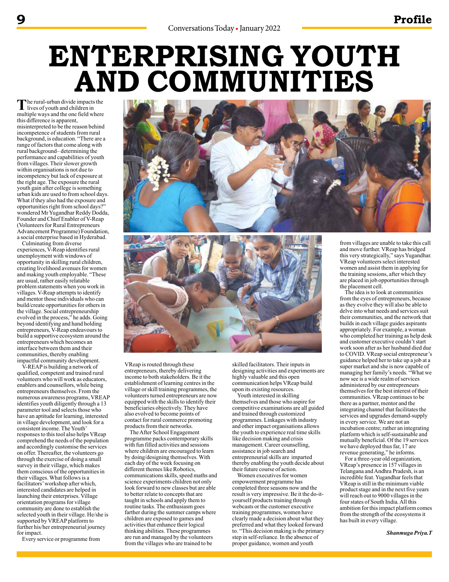# **ENTERPRISING YOUTH AND COMMUNITIES**

The rural-urban divide impacts the<br>lives of youth and children in<br>multiple ways and the one field where multiple ways and the one field where this difference is apparent, misinterpreted to be the reason behind incompetence of students from rural background, is education. "There are a range of factors that come along with rural background– determining the performance and capabilities of youth from villages. Their slower growth within organisations is not due to incompetency but lack of exposure at the right age. The exposure the rural youth gain after college is something urban kids are used to from school days. What if they also had the exposure and opportunities right from school days?" wondered Mr Yugandhar Reddy Dodda, Founder and Chief Enabler of V-Reap (Volunteers for Rural Entrepreneurs Advancement Programme) Foundation, a social enterprise based in Hyderabad.

Culminating from diverse experiences, V-Reap identifies rural unemployment with windows of opportunity in skilling rural children, creating livelihood avenues for women and making youth employable. "These are usual, rather easily relatable problem statements when you work in villages. V-Reap attempts to identify and mentor those individuals who can build/create opportunities for others in the village. Social entrepreneurship evolved in the process," he adds. Going beyond identifying and hand holding entrepreneurs, V-Reap endeavours to build a supportive ecosystem around the entrepreneurs which becomes an interface between them and their communities, thereby enabling impactful community development.

V-REAP is building a network of qualified, competent and trained rural volunteers who will work as educators, enablers and counsellors, while being entrepreneurs themselves. From the numerous awareness programs, VREAP identifies youth diligently through a 13 parameter tool and selects those who have an aptitude for learning, interested in village development, and look for a consistent income. The Youth' responses to this tool also helps VReap comprehend the needs of the population and accordingly customise the services on offer. Thereafter, the volunteers go through the exercise of doing a small survey in their village, which makes them conscious of the opportunities in their villages. What follows is a facilitators' workshop after which, interested candidates are helped in launching their enterprises. Village orientation programs for village community are done to establish the selected youth in their village. He/she is supported by VREAP platform to further his/her entrepreneurial journey for impact.

Every service or programme from





VReap is routed through these entrepreneurs, thereby delivering income to both stakeholders. Be it the establishment of learning centres in the village or skill training programmes, the volunteers turned entrepreneurs are now equipped with the skills to identify their beneficiaries objectively. They have also evolved to become points of contact for rural commerce promoting products from their networks.

The After School Engagement programme packs contemporary skills with fun filled activities and sessions where children are encouraged to learn by doing/designing themselves. With each day of the week focusing on different themes like Robotics, communications skills, speed maths and science experiments children not only look forward to new classes but are able to better relate to concepts that are taught in schools and apply them to routine tasks. The enthusiasm goes farther during the summer camps where children are exposed to games and activities that enhance their logical thinking abilities. These programmes are run and managed by the volunteers from the villages who are trained to be

skilled facilitators. Their inputs in designing activities and experiments are highly valuable and this open communication helps VReap build upon its existing resources.

Youth interested in skilling themselves and those who aspire for competitive examinations are all guided and trained through customized programmes. Linkages with industry and other impact organisations allows the youth to experience real time skills like decision making and crisis management. Career counselling, assistance in job search and entrepreneurial skills are imparted thereby enabling the youth decide about their future course of action.

Women executives for women empowerment programme has completed three seasons now and the result is very impressive. Be it the do-ityourself products training through webcasts or the customer executive training programmes, women have clearly made a decision about what they preferred and what they looked forward to. "This decision making is the primary step in self-reliance. In the absence of proper guidance, women and youth

from villages are unable to take this call and move further. VReap has bridged this very strategically," says Yugandhar. VReap volunteers select interested women and assist them in applying for the training sessions, after which they are placed in job opportunities through the placement cell.

The idea is to look at communities from the eyes of entrepreneurs, because as they evolve they will also be able to delve into what needs and services suit their communities, and the network that builds in each village guides aspirants appropriately. For example, a woman who completed her training as help desk and customer executive couldn't start work soon after as her husband died due to COVID. VReap social entrepreneur's guidance helped her to take up a job at a super market and she is now capable of managing her family's needs. "What we now see is a wide realm of services administered by our entrepreneurs themselves for the best interest of their communities. VReap continues to be there as a partner, mentor and the integrating channel that facilitates the services and upgrades demand-supply in every service. We are not an incubation centre; rather an integrating platform which is self-sustainable and mutually beneficial. Of the 19 services we have deployed thus far, 17 are revenue generating," he informs.

For a three-year old organization, VReap's presence in 157 villages in Telangana and Andhra Pradesh, is an incredible feat. Yugandhar feels that VReap is still in the minimum viable product stage and in the next five years will reach out to 9000 villages in the four states of South India. All this ambition for this impact platform comes from the strength of the ecosystems it has built in every village.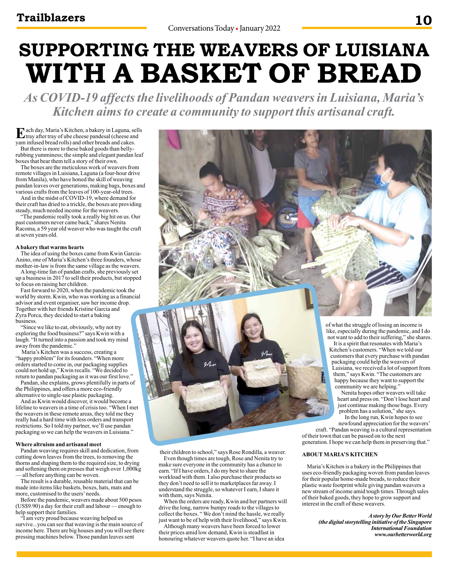# **SUPPORTING THE WEAVERS OF LUISIANA WITH A BASKET OF BREAD**

*As COVID-19 affects the livelihoods of Pandan weavers in Luisiana, Maria's Kitchen aims to create a community to support this artisanal craft.*

**E**ach day, Maria's Kitchen, a bakery in Laguna, sells<br>tray after tray of ube cheese pandesal (cheese and<br>transmitional band allo) and other hand a grad asker yam infused bread rolls) and other breads and cakes. But there is more to these baked goods than bellyrubbing yumminess; the simple and elegant pandan leaf

boxes that bear them tell a story of their own. The boxes are the meticulous work of weavers from remote villages in Luisiana, Laguna (a four-hour drive from Manila), who have honed the skill of weaving pandan leaves over generations, making bags, boxes and various crafts from the leaves of 100-year-old trees.

And in the midst of COVID-19, where demand for their craft has dried to a trickle, the boxes are providing steady, much needed income for the weavers.

"The pandemic really took a really big hit on us. Our past customers never came back," shares Nenita Racoma, a 59 year old weaver who was taught the craft at seven years old.

#### **A bakery that warms hearts**

The idea of using the boxes came from Kwin Garcia-Anino, one of Maria's Kitchen's three founders, whose mother-in-law is from the same village as the weavers.

A long-time fan of pandan crafts, she previously set up a business in 2017 to sell their products, but stopped to focus on raising her children.

Fast forward to 2020, when the pandemic took the world by storm. Kwin, who was working as a financial advisor and event organiser, saw her income drop. Together with her friends Kristine Garcia and Zyra Porca, they decided to start a baking business.

"Since we like to eat, obviously, why not try exploring the food business?" says Kwin with a laugh. "It turned into a passion and took my mind away from the pandemic.'

 Maria's Kitchen was a success, creating a "happy problem" for its founders. "When more orders started to come in, our packaging supplies could not hold up," Kwin recalls. "We decided to return to pandan packaging as it was our first love."

Pandan, she explains, grows plentifully in parts of the Philippines, and offers a more eco-friendly alternative to single-use plastic packaging.

And as Kwin would discover, it would become a lifeline to weavers in a time of crisis too. "When I met the weavers in these remote areas, they told me they really had a hard time with less orders and transport restrictions. So I told my partner, we'll use pandan packaging so we can help the weavers in Luisiana."

#### **Where altruism and artisanal meet**

Pandan weaving requires skill and dedication, from cutting down leaves from the trees, to removing the thorns and shaping them to the required size, to drying and softening them on presses that weigh over 1,000kg — all before anything can be woven.

The result is a durable, reusable material that can be made into items like baskets, boxes, hats, mats and more, customised to the users' needs.

Before the pandemic, weavers made about 500 pesos (US\$9.90) a day for their craft and labour — enough to help support their families.

"I am very proud because weaving helped us survive...you can see that weaving is the main source of income here. There are big houses and you will see there pressing machines below. Those pandan leaves sent

their children to school," says Rose Rondilla, a weaver. Even though times are tough, Rose and Nenita try to make sure everyone in the community has a chance to earn. "If I have orders, I do my best to share the workload with them. I also purchase their products so they don't need to sell it to marketplaces far away. I understand the struggle, so whatever I earn, I share it with them, says Nenita.

When the orders are ready, Kwin and her partners will drive the long, narrow bumpy roads to the villages to collect the boxes. " We don't mind the hassle, we really just want to be of help with their livelihood," says Kwin.

Although many weavers have been forced to lower their prices amid low demand, Kwin is steadfast in honouring whatever weavers quote her. "I have an idea of what the struggle of losing an income is like, especially during the pandemic, and I do not want to add to their suffering," she shares.

It is a spirit that resonates with Maria's Kitchen's customers. "When we told our customers that every purchase with pandan packaging could help the weavers of Luisiana, we received a lot of support from them," says Kwin. "The customers are happy because they want to support the community we are helping."

Nenita hopes other weavers will take heart and press on. "Don't lose heart and just continue making those bags. Every problem has a solution," she says.

In the long run, Kwin hopes to see newfound appreciation for the weavers'

craft. "Pandan weaving is a cultural representation of their town that can be passed on to the next generation. I hope we can help them in preserving that."

### **ABOUT MARIA'S KITCHEN**

Maria's Kitchen is a bakery in the Philippines that uses eco-friendly packaging woven from pandan leaves for their popular home-made breads, to reduce their plastic waste footprint while giving pandan weavers a new stream of income amid tough times. Through sales of their baked goods, they hope to grow support and interest in the craft of these weavers.

> *A story by Our Better World (the digital storytelling initiative of the Singapore International Foundation www.ourbetterworld.org*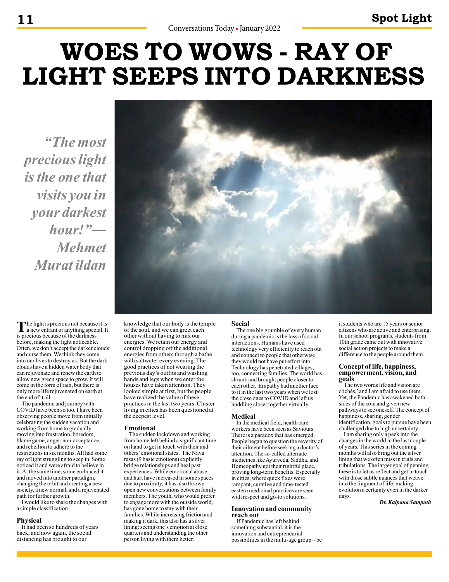# **WOES TO WOWS - RAY OF LIGHT SEEPS INTO DARKNESS**

*"The most precious light is the one that visits you in your darkest hour!"― Mehmet Murat ildan*



The light is precious not because it is<br>
a new entrant or anything special. It is precious because of the darkness before, making the light noticeable. Often, we don't accept the darker clouds and curse them. We think they come into our lives to destroy us. But the dark clouds have a hidden water body that can rejuvenate and renew the earth to allow new green space to grow. It will come in the form of rain, but there is only more life rejuvenated on earth at the end of it all.

The pandemic and journey with COVID have been so too. I have been observing people move from initially celebrating the sudden vacation and working from home to gradually moving into frustration, boredom, blame game, anger, non-acceptance, and rebellion to adhere to the restrictions in six months. All had some ray of light struggling to seep in. Some noticed it and were afraid to believe in it. At the same time, some embraced it and moved into another paradigm, changing the orbit and creating a new society, a new normal, and a rejuvenated path for further growth.

I would like to share the changes with a simple classification –

### **Physical**

It had been so hundreds of years back, and now again, the social distancing has brought to our

knowledge that our body is the temple of the soul, and we can greet each other without having to mix our energies. We retain our energy and control dropping off the additional energies from others through a bathe with saltwater every evening. The good practices of not wearing the previous day's outfits and washing hands and legs when we enter the houses have taken attention. They looked simple at first, but the people have realized the value of these practices in the last two years. Cluster living in cities has been questioned at the deepest level.

### **Emotional**

The sudden lockdown and working from home left behind a significant time on hand to get in touch with their and others' emotional states. The Nava rasas (9 basic emotions) explicitly bridge relationships and heal past experiences. While emotional abuse and hurt have increased in some spaces due to proximity, it has also thrown open new conversations between family members. The youth, who would prefer to engage more with the outside world, has gone home to stay with their families. While increasing friction and making it dark, this also has a silver lining: seeing one's emotion at close quarters and understanding the other person living with them better.

#### **Social**

The one big grumble of every human during a pandemic is the loss of social interactions. Humans have used technology very efficiently to reach out and connect to people that otherwise they would not have put effort into. Technology has penetrated villages, too, connecting families. The world has shrunk and brought people closer to each other. Empathy had another face to it in the last two years when we lost the close ones to COVID and left us huddling closer together virtually.

### **Medical**

In the medical field, health care workers have been seen as Saviours. There is a paradox that has emerged. People began to question the severity of their ailment before seeking a doctor's attention. The so-called alternate medicines like Ayurveda, Siddha, and Homeopathy got their rightful place, proving long-term benefits. Especially in cities, where quick fixes were rampant, curative and time-tested eastern medicinal practices are seen with respect and go-to solutions.

#### **Innovation and community reach out**

If Pandemic has left behind something substantial, it is the innovation and entrepreneurial possibilities in the multi-age group – be it students who are 15 years or senior citizens who are active and enterprising. In our school programs, students from 10th grade came out with innovative social action projects to make a difference to the people around them.

#### **Concept of life, happiness, empowerment, vision, and goals**

The two words life and vision are clichés,' and I am afraid to use them. Yet, the Pandemic has awakened both sides of the coin and given new pathways to see oneself. The concept of happiness, sharing, gender identification, goals to pursue have been challenged due to high uncertainty.

I am sharing only a peek into the changes in the world in the last couple of years. This series in the coming months will also bring out the silver lining that we often miss in trials and tribulations. The larger goal of penning these is to let us reflect and get in touch with those subtle nuances that weave into the fragment of life, making evolution a certainty even in the darker days.

*Dr. Kalpana Sampath*